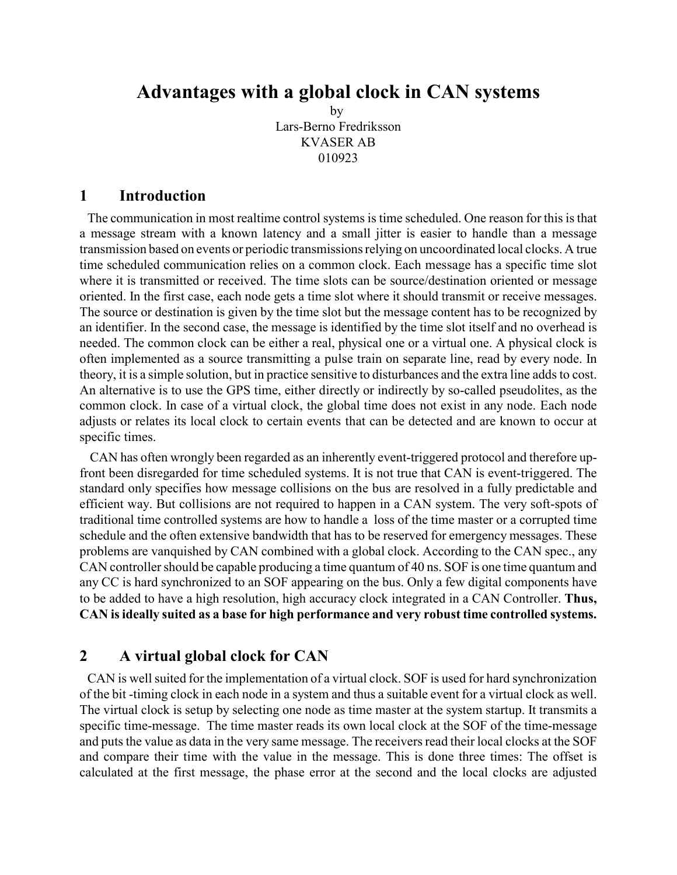# **Advantages with a global clock in CAN systems**

by

Lars-Berno Fredriksson KVASER AB 010923

#### **1 Introduction**

The communication in most realtime control systems is time scheduled. One reason for this is that a message stream with a known latency and a small jitter is easier to handle than a message transmission based on events or periodic transmissions relying on uncoordinated local clocks. A true time scheduled communication relies on a common clock. Each message has a specific time slot where it is transmitted or received. The time slots can be source/destination oriented or message oriented. In the first case, each node gets a time slot where it should transmit or receive messages. The source or destination is given by the time slot but the message content has to be recognized by an identifier. In the second case, the message is identified by the time slot itself and no overhead is needed. The common clock can be either a real, physical one or a virtual one. A physical clock is often implemented as a source transmitting a pulse train on separate line, read by every node. In theory, it is a simple solution, but in practice sensitive to disturbances and the extra line adds to cost. An alternative is to use the GPS time, either directly or indirectly by so-called pseudolites, as the common clock. In case of a virtual clock, the global time does not exist in any node. Each node adjusts or relates its local clock to certain events that can be detected and are known to occur at specific times.

 CAN has often wrongly been regarded as an inherently event-triggered protocol and therefore upfront been disregarded for time scheduled systems. It is not true that CAN is event-triggered. The standard only specifies how message collisions on the bus are resolved in a fully predictable and efficient way. But collisions are not required to happen in a CAN system. The very soft-spots of traditional time controlled systems are how to handle a loss of the time master or a corrupted time schedule and the often extensive bandwidth that has to be reserved for emergency messages. These problems are vanquished by CAN combined with a global clock. According to the CAN spec., any CAN controller should be capable producing a time quantum of 40 ns. SOF is one time quantum and any CC is hard synchronized to an SOF appearing on the bus. Only a few digital components have to be added to have a high resolution, high accuracy clock integrated in a CAN Controller. **Thus, CAN is ideally suited as a base for high performance and very robust time controlled systems.**

### **2 A virtual global clock for CAN**

CAN is well suited for the implementation of a virtual clock. SOF is used for hard synchronization of the bit -timing clock in each node in a system and thus a suitable event for a virtual clock as well. The virtual clock is setup by selecting one node as time master at the system startup. It transmits a specific time-message. The time master reads its own local clock at the SOF of the time-message and puts the value as data in the very same message. The receivers read their local clocks at the SOF and compare their time with the value in the message. This is done three times: The offset is calculated at the first message, the phase error at the second and the local clocks are adjusted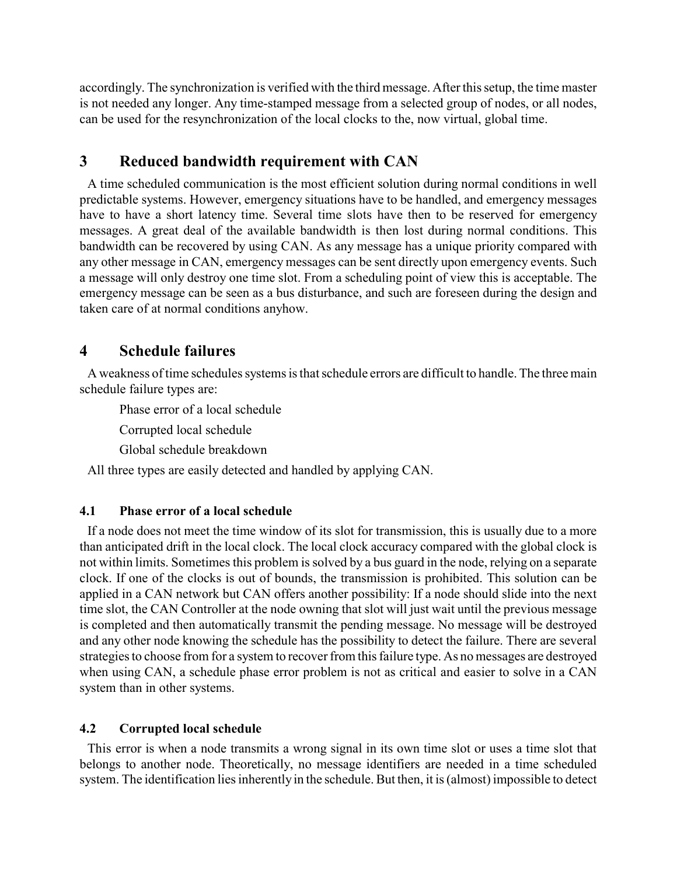accordingly. The synchronization is verified with the third message. After this setup, the time master is not needed any longer. Any time-stamped message from a selected group of nodes, or all nodes, can be used for the resynchronization of the local clocks to the, now virtual, global time.

# **3 Reduced bandwidth requirement with CAN**

A time scheduled communication is the most efficient solution during normal conditions in well predictable systems. However, emergency situations have to be handled, and emergency messages have to have a short latency time. Several time slots have then to be reserved for emergency messages. A great deal of the available bandwidth is then lost during normal conditions. This bandwidth can be recovered by using CAN. As any message has a unique priority compared with any other message in CAN, emergency messages can be sent directly upon emergency events. Such a message will only destroy one time slot. From a scheduling point of view this is acceptable. The emergency message can be seen as a bus disturbance, and such are foreseen during the design and taken care of at normal conditions anyhow.

# **4 Schedule failures**

A weakness of time schedules systems is that schedule errors are difficult to handle. The three main schedule failure types are:

Phase error of a local schedule

Corrupted local schedule

Global schedule breakdown

All three types are easily detected and handled by applying CAN.

## **4.1 Phase error of a local schedule**

If a node does not meet the time window of its slot for transmission, this is usually due to a more than anticipated drift in the local clock. The local clock accuracy compared with the global clock is not within limits. Sometimes this problem is solved by a bus guard in the node, relying on a separate clock. If one of the clocks is out of bounds, the transmission is prohibited. This solution can be applied in a CAN network but CAN offers another possibility: If a node should slide into the next time slot, the CAN Controller at the node owning that slot will just wait until the previous message is completed and then automatically transmit the pending message. No message will be destroyed and any other node knowing the schedule has the possibility to detect the failure. There are several strategies to choose from for a system to recover from this failure type. As no messages are destroyed when using CAN, a schedule phase error problem is not as critical and easier to solve in a CAN system than in other systems.

#### **4.2 Corrupted local schedule**

This error is when a node transmits a wrong signal in its own time slot or uses a time slot that belongs to another node. Theoretically, no message identifiers are needed in a time scheduled system. The identification lies inherently in the schedule. But then, it is (almost) impossible to detect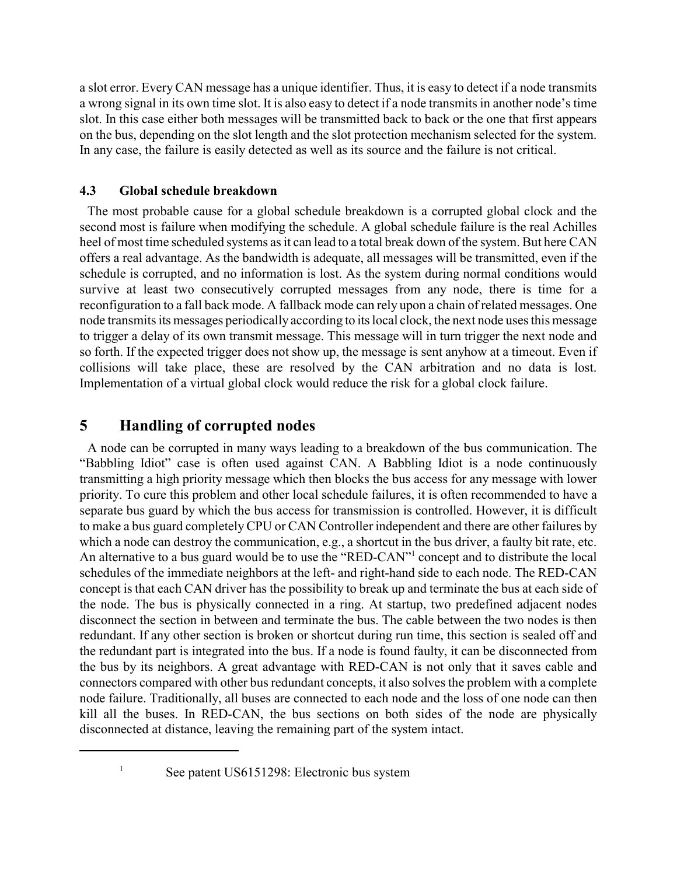a slot error. Every CAN message has a unique identifier. Thus, it is easy to detect if a node transmits a wrong signal in its own time slot. It is also easy to detect if a node transmits in another node's time slot. In this case either both messages will be transmitted back to back or the one that first appears on the bus, depending on the slot length and the slot protection mechanism selected for the system. In any case, the failure is easily detected as well as its source and the failure is not critical.

### **4.3 Global schedule breakdown**

The most probable cause for a global schedule breakdown is a corrupted global clock and the second most is failure when modifying the schedule. A global schedule failure is the real Achilles heel of most time scheduled systems as it can lead to a total break down of the system. But here CAN offers a real advantage. As the bandwidth is adequate, all messages will be transmitted, even if the schedule is corrupted, and no information is lost. As the system during normal conditions would survive at least two consecutively corrupted messages from any node, there is time for a reconfiguration to a fall back mode. A fallback mode can rely upon a chain of related messages. One node transmits its messages periodically according to its local clock, the next node uses this message to trigger a delay of its own transmit message. This message will in turn trigger the next node and so forth. If the expected trigger does not show up, the message is sent anyhow at a timeout. Even if collisions will take place, these are resolved by the CAN arbitration and no data is lost. Implementation of a virtual global clock would reduce the risk for a global clock failure.

# **5 Handling of corrupted nodes**

A node can be corrupted in many ways leading to a breakdown of the bus communication. The "Babbling Idiot" case is often used against CAN. A Babbling Idiot is a node continuously transmitting a high priority message which then blocks the bus access for any message with lower priority. To cure this problem and other local schedule failures, it is often recommended to have a separate bus guard by which the bus access for transmission is controlled. However, it is difficult to make a bus guard completely CPU or CAN Controller independent and there are other failures by which a node can destroy the communication, e.g., a shortcut in the bus driver, a faulty bit rate, etc. An alternative to a bus guard would be to use the "RED-CAN"<sup>1</sup> concept and to distribute the local schedules of the immediate neighbors at the left- and right-hand side to each node. The RED-CAN concept is that each CAN driver has the possibility to break up and terminate the bus at each side of the node. The bus is physically connected in a ring. At startup, two predefined adjacent nodes disconnect the section in between and terminate the bus. The cable between the two nodes is then redundant. If any other section is broken or shortcut during run time, this section is sealed off and the redundant part is integrated into the bus. If a node is found faulty, it can be disconnected from the bus by its neighbors. A great advantage with RED-CAN is not only that it saves cable and connectors compared with other bus redundant concepts, it also solves the problem with a complete node failure. Traditionally, all buses are connected to each node and the loss of one node can then kill all the buses. In RED-CAN, the bus sections on both sides of the node are physically disconnected at distance, leaving the remaining part of the system intact.

<sup>&</sup>lt;sup>1</sup> See patent US6151298: Electronic bus system